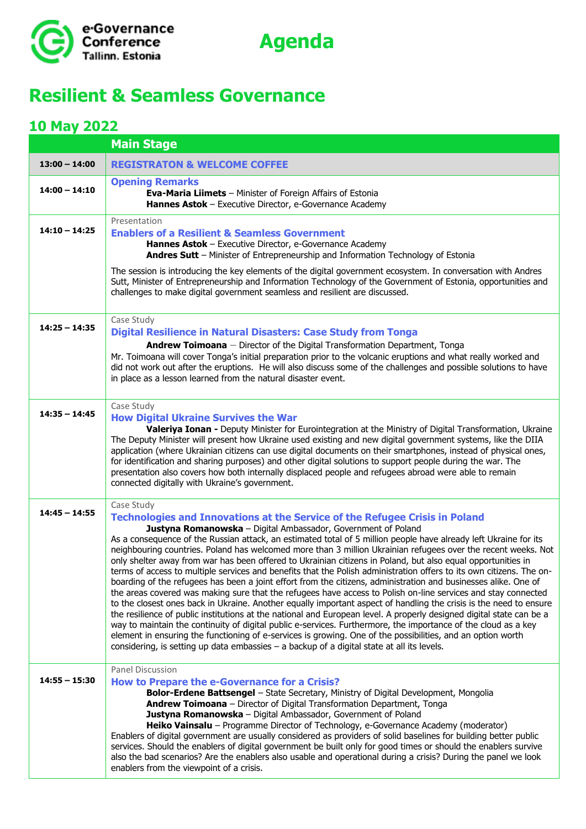



## **Resilient & Seamless Governance**

## **10 May 2022**

|                 | <b>Main Stage</b>                                                                                                                                                                                                                                                                                                                                                                                                                                                                                                                                                                                                                                                                                                                                                                                                                                                                                                                                                                                                                                                                                                                                                                                                                                                                                                                                                                                                                                                 |
|-----------------|-------------------------------------------------------------------------------------------------------------------------------------------------------------------------------------------------------------------------------------------------------------------------------------------------------------------------------------------------------------------------------------------------------------------------------------------------------------------------------------------------------------------------------------------------------------------------------------------------------------------------------------------------------------------------------------------------------------------------------------------------------------------------------------------------------------------------------------------------------------------------------------------------------------------------------------------------------------------------------------------------------------------------------------------------------------------------------------------------------------------------------------------------------------------------------------------------------------------------------------------------------------------------------------------------------------------------------------------------------------------------------------------------------------------------------------------------------------------|
| $13:00 - 14:00$ | <b>REGISTRATON &amp; WELCOME COFFEE</b>                                                                                                                                                                                                                                                                                                                                                                                                                                                                                                                                                                                                                                                                                                                                                                                                                                                                                                                                                                                                                                                                                                                                                                                                                                                                                                                                                                                                                           |
| $14:00 - 14:10$ | <b>Opening Remarks</b><br>Eva-Maria Liimets - Minister of Foreign Affairs of Estonia<br>Hannes Astok - Executive Director, e-Governance Academy                                                                                                                                                                                                                                                                                                                                                                                                                                                                                                                                                                                                                                                                                                                                                                                                                                                                                                                                                                                                                                                                                                                                                                                                                                                                                                                   |
| $14:10 - 14:25$ | Presentation<br><b>Enablers of a Resilient &amp; Seamless Government</b><br>Hannes Astok - Executive Director, e-Governance Academy<br>Andres Sutt - Minister of Entrepreneurship and Information Technology of Estonia<br>The session is introducing the key elements of the digital government ecosystem. In conversation with Andres<br>Sutt, Minister of Entrepreneurship and Information Technology of the Government of Estonia, opportunities and<br>challenges to make digital government seamless and resilient are discussed.                                                                                                                                                                                                                                                                                                                                                                                                                                                                                                                                                                                                                                                                                                                                                                                                                                                                                                                           |
| $14:25 - 14:35$ | Case Study<br><b>Digital Resilience in Natural Disasters: Case Study from Tonga</b><br><b>Andrew Toimoana</b> - Director of the Digital Transformation Department, Tonga<br>Mr. Toimoana will cover Tonga's initial preparation prior to the volcanic eruptions and what really worked and<br>did not work out after the eruptions. He will also discuss some of the challenges and possible solutions to have<br>in place as a lesson learned from the natural disaster event.                                                                                                                                                                                                                                                                                                                                                                                                                                                                                                                                                                                                                                                                                                                                                                                                                                                                                                                                                                                   |
| $14:35 - 14:45$ | Case Study<br><b>How Digital Ukraine Survives the War</b><br>Valeriya Ionan - Deputy Minister for Eurointegration at the Ministry of Digital Transformation, Ukraine<br>The Deputy Minister will present how Ukraine used existing and new digital government systems, like the DIIA<br>application (where Ukrainian citizens can use digital documents on their smartphones, instead of physical ones,<br>for identification and sharing purposes) and other digital solutions to support people during the war. The<br>presentation also covers how both internally displaced people and refugees abroad were able to remain<br>connected digitally with Ukraine's government.                                                                                                                                                                                                                                                                                                                                                                                                                                                                                                                                                                                                                                                                                                                                                                                  |
| $14:45 - 14:55$ | Case Study<br><b>Technologies and Innovations at the Service of the Refugee Crisis in Poland</b><br>Justyna Romanowska - Digital Ambassador, Government of Poland<br>As a consequence of the Russian attack, an estimated total of 5 million people have already left Ukraine for its<br>neighbouring countries. Poland has welcomed more than 3 million Ukrainian refugees over the recent weeks. Not<br>only shelter away from war has been offered to Ukrainian citizens in Poland, but also equal opportunities in<br>terms of access to multiple services and benefits that the Polish administration offers to its own citizens. The on-<br>boarding of the refugees has been a joint effort from the citizens, administration and businesses alike. One of<br>the areas covered was making sure that the refugees have access to Polish on-line services and stay connected<br>to the closest ones back in Ukraine. Another equally important aspect of handling the crisis is the need to ensure<br>the resilience of public institutions at the national and European level. A properly designed digital state can be a<br>way to maintain the continuity of digital public e-services. Furthermore, the importance of the cloud as a key<br>element in ensuring the functioning of e-services is growing. One of the possibilities, and an option worth<br>considering, is setting up data embassies $-$ a backup of a digital state at all its levels. |
| $14:55 - 15:30$ | <b>Panel Discussion</b><br>How to Prepare the e-Governance for a Crisis?<br>Bolor-Erdene Battsengel - State Secretary, Ministry of Digital Development, Mongolia<br>Andrew Toimoana - Director of Digital Transformation Department, Tonga<br>Justyna Romanowska - Digital Ambassador, Government of Poland<br>Heiko Vainsalu - Programme Director of Technology, e-Governance Academy (moderator)<br>Enablers of digital government are usually considered as providers of solid baselines for building better public<br>services. Should the enablers of digital government be built only for good times or should the enablers survive<br>also the bad scenarios? Are the enablers also usable and operational during a crisis? During the panel we look<br>enablers from the viewpoint of a crisis.                                                                                                                                                                                                                                                                                                                                                                                                                                                                                                                                                                                                                                                           |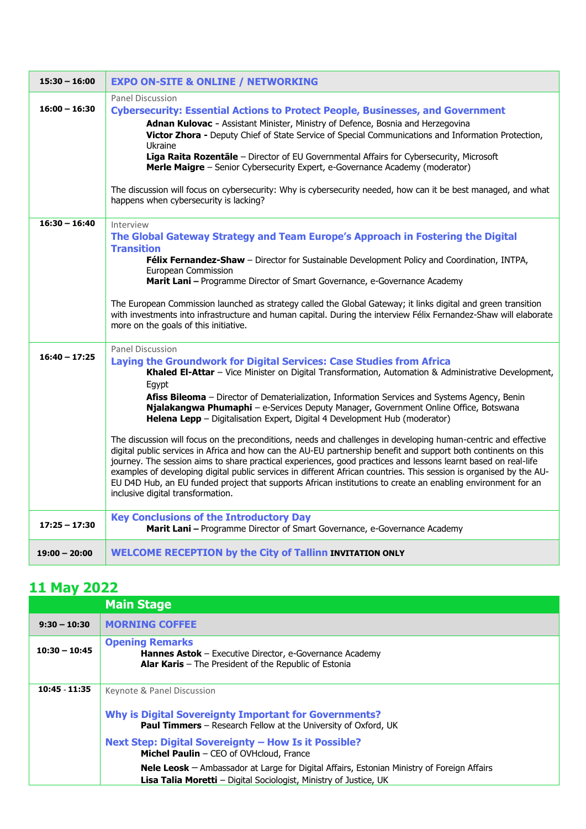| $15:30 - 16:00$ | <b>EXPO ON-SITE &amp; ONLINE / NETWORKING</b>                                                                                                                                                                                                                                                                                                                                                                                                                                                                                                                                                                                                                                                                                                                                                                                                                                                                                                                                                                                                                                                                             |  |  |
|-----------------|---------------------------------------------------------------------------------------------------------------------------------------------------------------------------------------------------------------------------------------------------------------------------------------------------------------------------------------------------------------------------------------------------------------------------------------------------------------------------------------------------------------------------------------------------------------------------------------------------------------------------------------------------------------------------------------------------------------------------------------------------------------------------------------------------------------------------------------------------------------------------------------------------------------------------------------------------------------------------------------------------------------------------------------------------------------------------------------------------------------------------|--|--|
| $16:00 - 16:30$ | Panel Discussion<br><b>Cybersecurity: Essential Actions to Protect People, Businesses, and Government</b><br>Adnan Kulovac - Assistant Minister, Ministry of Defence, Bosnia and Herzegovina<br>Victor Zhora - Deputy Chief of State Service of Special Communications and Information Protection,<br>Ukraine<br>Liga Raita Rozentale - Director of EU Governmental Affairs for Cybersecurity, Microsoft<br>Merle Maigre - Senior Cybersecurity Expert, e-Governance Academy (moderator)<br>The discussion will focus on cybersecurity: Why is cybersecurity needed, how can it be best managed, and what<br>happens when cybersecurity is lacking?                                                                                                                                                                                                                                                                                                                                                                                                                                                                       |  |  |
| $16:30 - 16:40$ | Interview<br>The Global Gateway Strategy and Team Europe's Approach in Fostering the Digital<br><b>Transition</b><br>Félix Fernandez-Shaw - Director for Sustainable Development Policy and Coordination, INTPA,<br>European Commission<br>Marit Lani - Programme Director of Smart Governance, e-Governance Academy<br>The European Commission launched as strategy called the Global Gateway; it links digital and green transition<br>with investments into infrastructure and human capital. During the interview Félix Fernandez-Shaw will elaborate<br>more on the goals of this initiative.                                                                                                                                                                                                                                                                                                                                                                                                                                                                                                                        |  |  |
| $16:40 - 17:25$ | <b>Panel Discussion</b><br>Laying the Groundwork for Digital Services: Case Studies from Africa<br>Khaled El-Attar - Vice Minister on Digital Transformation, Automation & Administrative Development,<br>Egypt<br>Afiss Bileoma - Director of Dematerialization, Information Services and Systems Agency, Benin<br>Njalakangwa Phumaphi - e-Services Deputy Manager, Government Online Office, Botswana<br>Helena Lepp - Digitalisation Expert, Digital 4 Development Hub (moderator)<br>The discussion will focus on the preconditions, needs and challenges in developing human-centric and effective<br>digital public services in Africa and how can the AU-EU partnership benefit and support both continents on this<br>journey. The session aims to share practical experiences, good practices and lessons learnt based on real-life<br>examples of developing digital public services in different African countries. This session is organised by the AU-<br>EU D4D Hub, an EU funded project that supports African institutions to create an enabling environment for an<br>inclusive digital transformation. |  |  |
| $17:25 - 17:30$ | <b>Key Conclusions of the Introductory Day</b><br>Marit Lani - Programme Director of Smart Governance, e-Governance Academy                                                                                                                                                                                                                                                                                                                                                                                                                                                                                                                                                                                                                                                                                                                                                                                                                                                                                                                                                                                               |  |  |
| $19:00 - 20:00$ | <b>WELCOME RECEPTION by the City of Tallinn INVITATION ONLY</b>                                                                                                                                                                                                                                                                                                                                                                                                                                                                                                                                                                                                                                                                                                                                                                                                                                                                                                                                                                                                                                                           |  |  |

## **11 May 2022**

|                 | <b>Main Stage</b>                                                                                                                                                               |
|-----------------|---------------------------------------------------------------------------------------------------------------------------------------------------------------------------------|
| $9:30 - 10:30$  | <b>MORNING COFFEE</b>                                                                                                                                                           |
| $10:30 - 10:45$ | <b>Opening Remarks</b><br><b>Hannes Astok</b> – Executive Director, e-Governance Academy<br><b>Alar Karis</b> $-$ The President of the Republic of Estonia                      |
| 10:45 - 11:35   | Keynote & Panel Discussion                                                                                                                                                      |
|                 | <b>Why is Digital Sovereignty Important for Governments?</b><br><b>Paul Timmers</b> – Research Fellow at the University of Oxford, UK                                           |
|                 | Next Step: Digital Sovereignty - How Is it Possible?<br>Michel Paulin - CEO of OVHcloud, France                                                                                 |
|                 | <b>Nele Leosk</b> $-$ Ambassador at Large for Digital Affairs, Estonian Ministry of Foreign Affairs<br><b>Lisa Talia Moretti</b> - Digital Sociologist, Ministry of Justice, UK |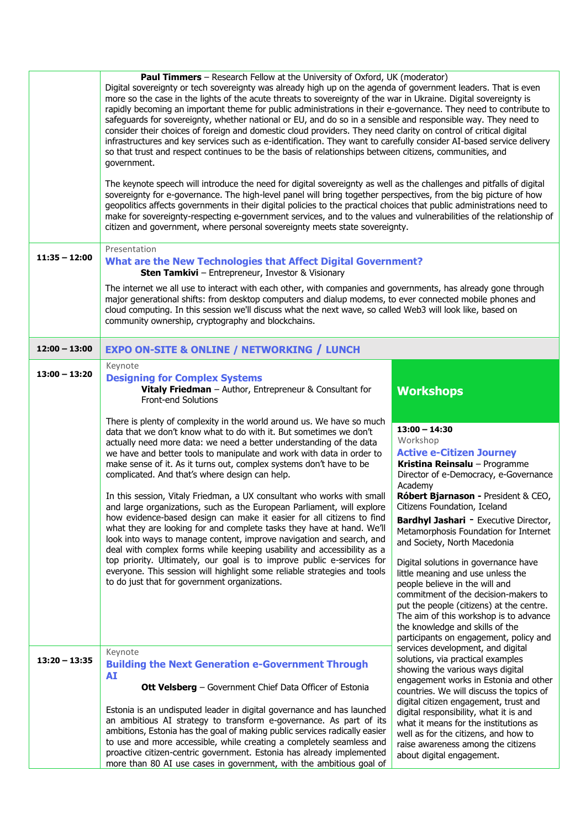|                 | <b>Paul Timmers</b> – Research Fellow at the University of Oxford, UK (moderator)<br>Digital sovereignty or tech sovereignty was already high up on the agenda of government leaders. That is even<br>more so the case in the lights of the acute threats to sovereignty of the war in Ukraine. Digital sovereignty is<br>rapidly becoming an important theme for public administrations in their e-governance. They need to contribute to<br>safeguards for sovereignty, whether national or EU, and do so in a sensible and responsible way. They need to<br>consider their choices of foreign and domestic cloud providers. They need clarity on control of critical digital<br>infrastructures and key services such as e-identification. They want to carefully consider AI-based service delivery<br>so that trust and respect continues to be the basis of relationships between citizens, communities, and<br>government.<br>The keynote speech will introduce the need for digital sovereignty as well as the challenges and pitfalls of digital<br>sovereignty for e-governance. The high-level panel will bring together perspectives, from the big picture of how<br>geopolitics affects governments in their digital policies to the practical choices that public administrations need to<br>make for sovereignty-respecting e-government services, and to the values and vulnerabilities of the relationship of<br>citizen and government, where personal sovereignty meets state sovereignty. |                                                                                                                                                                                                                                                                                                                                                                                                                                                                                                                                                                                                                                                                                                   |  |
|-----------------|---------------------------------------------------------------------------------------------------------------------------------------------------------------------------------------------------------------------------------------------------------------------------------------------------------------------------------------------------------------------------------------------------------------------------------------------------------------------------------------------------------------------------------------------------------------------------------------------------------------------------------------------------------------------------------------------------------------------------------------------------------------------------------------------------------------------------------------------------------------------------------------------------------------------------------------------------------------------------------------------------------------------------------------------------------------------------------------------------------------------------------------------------------------------------------------------------------------------------------------------------------------------------------------------------------------------------------------------------------------------------------------------------------------------------------------------------------------------------------------------------------------|---------------------------------------------------------------------------------------------------------------------------------------------------------------------------------------------------------------------------------------------------------------------------------------------------------------------------------------------------------------------------------------------------------------------------------------------------------------------------------------------------------------------------------------------------------------------------------------------------------------------------------------------------------------------------------------------------|--|
| $11:35 - 12:00$ | Presentation<br><b>What are the New Technologies that Affect Digital Government?</b><br><b>Sten Tamkivi</b> - Entrepreneur, Investor & Visionary<br>The internet we all use to interact with each other, with companies and governments, has already gone through<br>major generational shifts: from desktop computers and dialup modems, to ever connected mobile phones and<br>cloud computing. In this session we'll discuss what the next wave, so called Web3 will look like, based on<br>community ownership, cryptography and blockchains.                                                                                                                                                                                                                                                                                                                                                                                                                                                                                                                                                                                                                                                                                                                                                                                                                                                                                                                                                             |                                                                                                                                                                                                                                                                                                                                                                                                                                                                                                                                                                                                                                                                                                   |  |
| $12:00 - 13:00$ | <b>EXPO ON-SITE &amp; ONLINE / NETWORKING / LUNCH</b>                                                                                                                                                                                                                                                                                                                                                                                                                                                                                                                                                                                                                                                                                                                                                                                                                                                                                                                                                                                                                                                                                                                                                                                                                                                                                                                                                                                                                                                         |                                                                                                                                                                                                                                                                                                                                                                                                                                                                                                                                                                                                                                                                                                   |  |
| $13:00 - 13:20$ | Keynote<br><b>Designing for Complex Systems</b><br>Vitaly Friedman - Author, Entrepreneur & Consultant for<br>Front-end Solutions<br>There is plenty of complexity in the world around us. We have so much<br>data that we don't know what to do with it. But sometimes we don't<br>actually need more data: we need a better understanding of the data<br>we have and better tools to manipulate and work with data in order to<br>make sense of it. As it turns out, complex systems don't have to be<br>complicated. And that's where design can help.<br>In this session, Vitaly Friedman, a UX consultant who works with small<br>and large organizations, such as the European Parliament, will explore<br>how evidence-based design can make it easier for all citizens to find<br>what they are looking for and complete tasks they have at hand. We'll<br>look into ways to manage content, improve navigation and search, and<br>deal with complex forms while keeping usability and accessibility as a<br>top priority. Ultimately, our goal is to improve public e-services for<br>everyone. This session will highlight some reliable strategies and tools<br>to do just that for government organizations.                                                                                                                                                                                                                                                                                      | <b>Workshops</b><br>$13:00 - 14:30$<br>Workshop<br><b>Active e-Citizen Journey</b><br>Kristina Reinsalu - Programme<br>Director of e-Democracy, e-Governance<br>Academy<br>Róbert Bjarnason - President & CEO,<br>Citizens Foundation, Iceland<br><b>Bardhyl Jashari - Executive Director,</b><br>Metamorphosis Foundation for Internet<br>and Society, North Macedonia<br>Digital solutions in governance have<br>little meaning and use unless the<br>people believe in the will and<br>commitment of the decision-makers to<br>put the people (citizens) at the centre.<br>The aim of this workshop is to advance<br>the knowledge and skills of the<br>participants on engagement, policy and |  |
| $13:20 - 13:35$ | Keynote<br><b>Building the Next Generation e-Government Through</b><br>AI<br>Ott Velsberg - Government Chief Data Officer of Estonia<br>Estonia is an undisputed leader in digital governance and has launched<br>an ambitious AI strategy to transform e-governance. As part of its<br>ambitions, Estonia has the goal of making public services radically easier<br>to use and more accessible, while creating a completely seamless and<br>proactive citizen-centric government. Estonia has already implemented<br>more than 80 AI use cases in government, with the ambitious goal of                                                                                                                                                                                                                                                                                                                                                                                                                                                                                                                                                                                                                                                                                                                                                                                                                                                                                                                    | services development, and digital<br>solutions, via practical examples<br>showing the various ways digital<br>engagement works in Estonia and other<br>countries. We will discuss the topics of<br>digital citizen engagement, trust and<br>digital responsibility, what it is and<br>what it means for the institutions as<br>well as for the citizens, and how to<br>raise awareness among the citizens<br>about digital engagement.                                                                                                                                                                                                                                                            |  |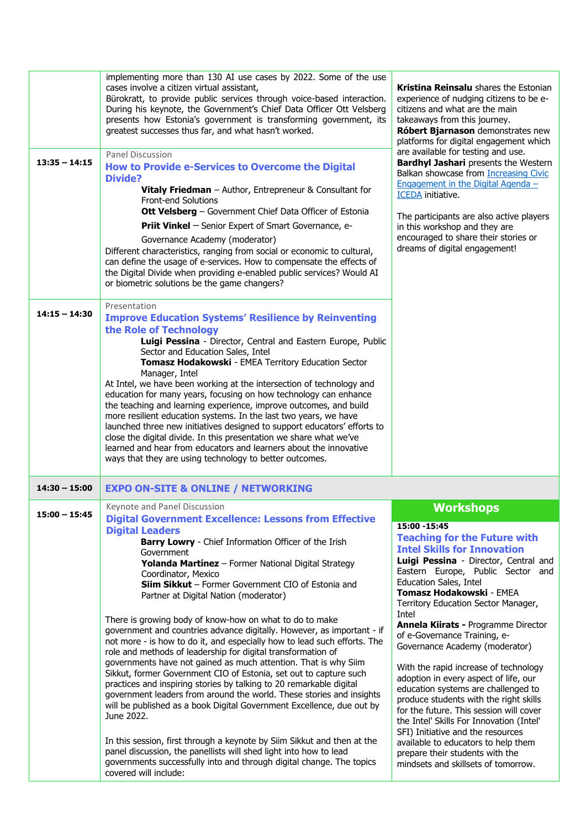| $13:35 - 14:15$ | implementing more than 130 AI use cases by 2022. Some of the use<br>cases involve a citizen virtual assistant,<br>Bürokratt, to provide public services through voice-based interaction.<br>During his keynote, the Government's Chief Data Officer Ott Velsberg<br>presents how Estonia's government is transforming government, its<br>greatest successes thus far, and what hasn't worked.<br><b>Panel Discussion</b><br>How to Provide e-Services to Overcome the Digital<br><b>Divide?</b><br>Vitaly Friedman - Author, Entrepreneur & Consultant for<br><b>Front-end Solutions</b><br><b>Ott Velsberg</b> - Government Chief Data Officer of Estonia<br><b>Priit Vinkel</b> - Senior Expert of Smart Governance, e-<br>Governance Academy (moderator)<br>Different characteristics, ranging from social or economic to cultural,<br>can define the usage of e-services. How to compensate the effects of<br>the Digital Divide when providing e-enabled public services? Would AI<br>or biometric solutions be the game changers?                                                                                                                                | Kristina Reinsalu shares the Estonian<br>experience of nudging citizens to be e-<br>citizens and what are the main<br>takeaways from this journey.<br>Róbert Bjarnason demonstrates new<br>platforms for digital engagement which<br>are available for testing and use.<br><b>Bardhyl Jashari</b> presents the Western<br>Balkan showcase from Increasing Civic<br>Engagement in the Digital Agenda -<br><b>ICEDA</b> initiative.<br>The participants are also active players<br>in this workshop and they are<br>encouraged to share their stories or<br>dreams of digital engagement!                                                                                                                                                                                                |
|-----------------|------------------------------------------------------------------------------------------------------------------------------------------------------------------------------------------------------------------------------------------------------------------------------------------------------------------------------------------------------------------------------------------------------------------------------------------------------------------------------------------------------------------------------------------------------------------------------------------------------------------------------------------------------------------------------------------------------------------------------------------------------------------------------------------------------------------------------------------------------------------------------------------------------------------------------------------------------------------------------------------------------------------------------------------------------------------------------------------------------------------------------------------------------------------------|----------------------------------------------------------------------------------------------------------------------------------------------------------------------------------------------------------------------------------------------------------------------------------------------------------------------------------------------------------------------------------------------------------------------------------------------------------------------------------------------------------------------------------------------------------------------------------------------------------------------------------------------------------------------------------------------------------------------------------------------------------------------------------------|
| $14:15 - 14:30$ | Presentation<br><b>Improve Education Systems' Resilience by Reinventing</b><br>the Role of Technology<br>Luigi Pessina - Director, Central and Eastern Europe, Public<br>Sector and Education Sales, Intel<br>Tomasz Hodakowski - EMEA Territory Education Sector<br>Manager, Intel<br>At Intel, we have been working at the intersection of technology and<br>education for many years, focusing on how technology can enhance<br>the teaching and learning experience, improve outcomes, and build<br>more resilient education systems. In the last two years, we have<br>launched three new initiatives designed to support educators' efforts to<br>close the digital divide. In this presentation we share what we've<br>learned and hear from educators and learners about the innovative<br>ways that they are using technology to better outcomes.                                                                                                                                                                                                                                                                                                             |                                                                                                                                                                                                                                                                                                                                                                                                                                                                                                                                                                                                                                                                                                                                                                                        |
| $14:30 - 15:00$ | <b>EXPO ON-SITE &amp; ONLINE / NETWORKING</b>                                                                                                                                                                                                                                                                                                                                                                                                                                                                                                                                                                                                                                                                                                                                                                                                                                                                                                                                                                                                                                                                                                                          |                                                                                                                                                                                                                                                                                                                                                                                                                                                                                                                                                                                                                                                                                                                                                                                        |
| $15:00 - 15:45$ | Keynote and Panel Discussion<br><b>Digital Government Excellence: Lessons from Effective</b><br><b>Digital Leaders</b>                                                                                                                                                                                                                                                                                                                                                                                                                                                                                                                                                                                                                                                                                                                                                                                                                                                                                                                                                                                                                                                 | <b>Workshops</b><br>15:00 - 15:45                                                                                                                                                                                                                                                                                                                                                                                                                                                                                                                                                                                                                                                                                                                                                      |
|                 | <b>Barry Lowry</b> - Chief Information Officer of the Irish<br>Government<br>Yolanda Martínez - Former National Digital Strategy<br>Coordinator, Mexico<br>Siim Sikkut - Former Government CIO of Estonia and<br>Partner at Digital Nation (moderator)<br>There is growing body of know-how on what to do to make<br>government and countries advance digitally. However, as important - if<br>not more - is how to do it, and especially how to lead such efforts. The<br>role and methods of leadership for digital transformation of<br>governments have not gained as much attention. That is why Siim<br>Sikkut, former Government CIO of Estonia, set out to capture such<br>practices and inspiring stories by talking to 20 remarkable digital<br>government leaders from around the world. These stories and insights<br>will be published as a book Digital Government Excellence, due out by<br>June 2022.<br>In this session, first through a keynote by Siim Sikkut and then at the<br>panel discussion, the panellists will shed light into how to lead<br>governments successfully into and through digital change. The topics<br>covered will include: | <b>Teaching for the Future with</b><br><b>Intel Skills for Innovation</b><br>Luigi Pessina - Director, Central and<br>Eastern Europe, Public Sector and<br>Education Sales, Intel<br>Tomasz Hodakowski - EMEA<br>Territory Education Sector Manager,<br>Intel<br>Annela Kiirats - Programme Director<br>of e-Governance Training, e-<br>Governance Academy (moderator)<br>With the rapid increase of technology<br>adoption in every aspect of life, our<br>education systems are challenged to<br>produce students with the right skills<br>for the future. This session will cover<br>the Intel' Skills For Innovation (Intel'<br>SFI) Initiative and the resources<br>available to educators to help them<br>prepare their students with the<br>mindsets and skillsets of tomorrow. |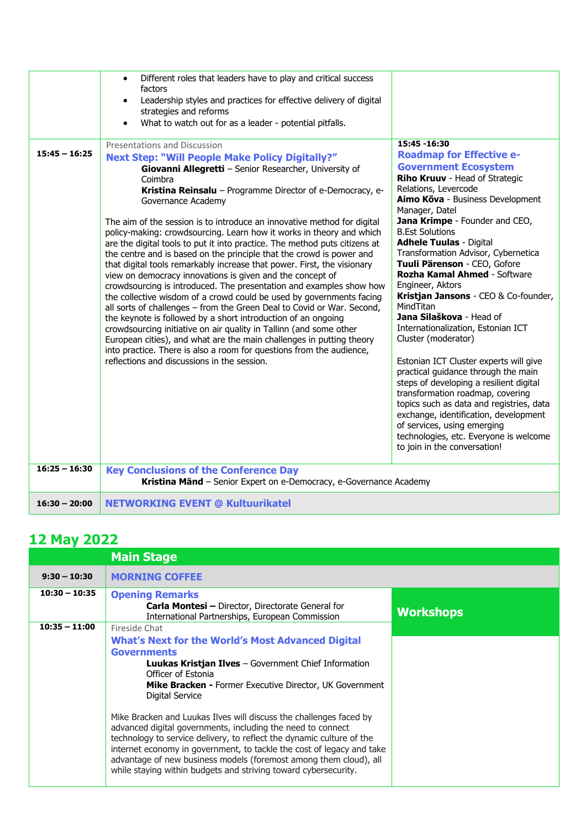|                 | Different roles that leaders have to play and critical success<br>$\bullet$<br>factors<br>Leadership styles and practices for effective delivery of digital<br>$\bullet$<br>strategies and reforms<br>What to watch out for as a leader - potential pitfalls.<br>$\bullet$<br><b>Presentations and Discussion</b>                                                                                                                                                                                                                                                                                                                                                                                                                                                                                                                                                                                                                                                                                                                                                                                                                                                                                                              | 15:45 - 16:30                                                                                                                                                                                                                                                                                                                                                                                                                                                                                                                                                                                                                                                                                                                                                                                                                                                                                                       |
|-----------------|--------------------------------------------------------------------------------------------------------------------------------------------------------------------------------------------------------------------------------------------------------------------------------------------------------------------------------------------------------------------------------------------------------------------------------------------------------------------------------------------------------------------------------------------------------------------------------------------------------------------------------------------------------------------------------------------------------------------------------------------------------------------------------------------------------------------------------------------------------------------------------------------------------------------------------------------------------------------------------------------------------------------------------------------------------------------------------------------------------------------------------------------------------------------------------------------------------------------------------|---------------------------------------------------------------------------------------------------------------------------------------------------------------------------------------------------------------------------------------------------------------------------------------------------------------------------------------------------------------------------------------------------------------------------------------------------------------------------------------------------------------------------------------------------------------------------------------------------------------------------------------------------------------------------------------------------------------------------------------------------------------------------------------------------------------------------------------------------------------------------------------------------------------------|
| $15:45 - 16:25$ | <b>Next Step: "Will People Make Policy Digitally?"</b><br>Giovanni Allegretti - Senior Researcher, University of<br>Coimbra<br>Kristina Reinsalu - Programme Director of e-Democracy, e-<br>Governance Academy<br>The aim of the session is to introduce an innovative method for digital<br>policy-making: crowdsourcing. Learn how it works in theory and which<br>are the digital tools to put it into practice. The method puts citizens at<br>the centre and is based on the principle that the crowd is power and<br>that digital tools remarkably increase that power. First, the visionary<br>view on democracy innovations is given and the concept of<br>crowdsourcing is introduced. The presentation and examples show how<br>the collective wisdom of a crowd could be used by governments facing<br>all sorts of challenges - from the Green Deal to Covid or War. Second,<br>the keynote is followed by a short introduction of an ongoing<br>crowdsourcing initiative on air quality in Tallinn (and some other<br>European cities), and what are the main challenges in putting theory<br>into practice. There is also a room for questions from the audience,<br>reflections and discussions in the session. | <b>Roadmap for Effective e-</b><br><b>Government Ecosystem</b><br>Riho Kruuv - Head of Strategic<br>Relations, Levercode<br>Aimo Kõva - Business Development<br>Manager, Datel<br>Jana Krimpe - Founder and CEO,<br><b>B.Est Solutions</b><br><b>Adhele Tuulas - Digital</b><br>Transformation Advisor, Cybernetica<br>Tuuli Pärenson - CEO, Gofore<br>Rozha Kamal Ahmed - Software<br>Engineer, Aktors<br>Kristjan Jansons - CEO & Co-founder,<br>MindTitan<br>Jana Silaškova - Head of<br>Internationalization, Estonian ICT<br>Cluster (moderator)<br>Estonian ICT Cluster experts will give<br>practical guidance through the main<br>steps of developing a resilient digital<br>transformation roadmap, covering<br>topics such as data and registries, data<br>exchange, identification, development<br>of services, using emerging<br>technologies, etc. Everyone is welcome<br>to join in the conversation! |
| $16:25 - 16:30$ | <b>Key Conclusions of the Conference Day</b><br>Kristina Mänd - Senior Expert on e-Democracy, e-Governance Academy                                                                                                                                                                                                                                                                                                                                                                                                                                                                                                                                                                                                                                                                                                                                                                                                                                                                                                                                                                                                                                                                                                             |                                                                                                                                                                                                                                                                                                                                                                                                                                                                                                                                                                                                                                                                                                                                                                                                                                                                                                                     |
| $16:30 - 20:00$ | <b>NETWORKING EVENT @ Kultuurikatel</b>                                                                                                                                                                                                                                                                                                                                                                                                                                                                                                                                                                                                                                                                                                                                                                                                                                                                                                                                                                                                                                                                                                                                                                                        |                                                                                                                                                                                                                                                                                                                                                                                                                                                                                                                                                                                                                                                                                                                                                                                                                                                                                                                     |

## **12 May 2022**

|                                    | <b>Main Stage</b>                                                                                                                                                                                                                                                                                                                                                                                                                                                                                                                                                                                                                                                                       |                  |
|------------------------------------|-----------------------------------------------------------------------------------------------------------------------------------------------------------------------------------------------------------------------------------------------------------------------------------------------------------------------------------------------------------------------------------------------------------------------------------------------------------------------------------------------------------------------------------------------------------------------------------------------------------------------------------------------------------------------------------------|------------------|
| $9:30 - 10:30$                     | <b>MORNING COFFEE</b>                                                                                                                                                                                                                                                                                                                                                                                                                                                                                                                                                                                                                                                                   |                  |
| $10:30 - 10:35$<br>$10:35 - 11:00$ | <b>Opening Remarks</b><br><b>Carla Montesi</b> - Director, Directorate General for<br>International Partnerships, European Commission<br>Fireside Chat                                                                                                                                                                                                                                                                                                                                                                                                                                                                                                                                  | <b>Workshops</b> |
|                                    | <b>What's Next for the World's Most Advanced Digital</b><br><b>Governments</b><br><b>Luukas Kristjan Ilves</b> – Government Chief Information<br>Officer of Estonia<br><b>Mike Bracken - Former Executive Director, UK Government</b><br>Digital Service<br>Mike Bracken and Luukas Ilves will discuss the challenges faced by<br>advanced digital governments, including the need to connect<br>technology to service delivery, to reflect the dynamic culture of the<br>internet economy in government, to tackle the cost of legacy and take<br>advantage of new business models (foremost among them cloud), all<br>while staying within budgets and striving toward cybersecurity. |                  |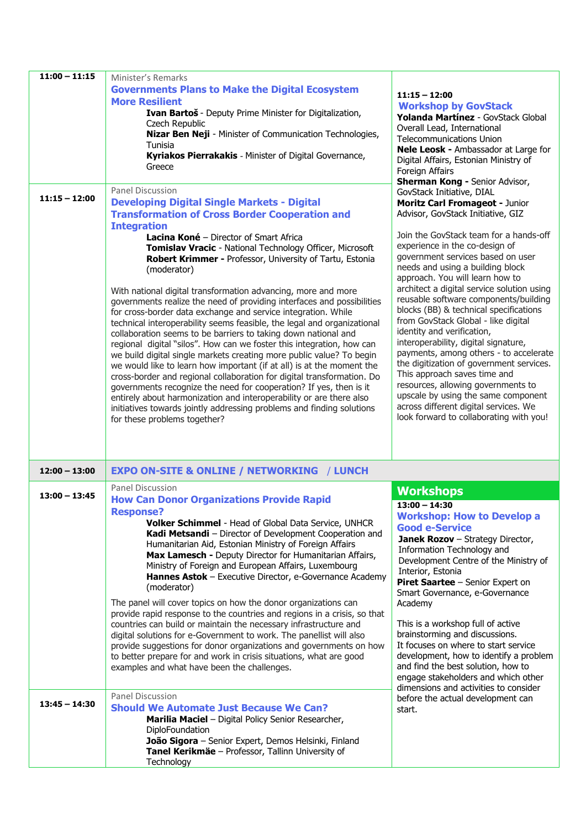| $11:00 - 11:15$ | Minister's Remarks<br><b>Governments Plans to Make the Digital Ecosystem</b><br><b>More Resilient</b>                                                                                                                                                                                                                                                                                                                                                                                                                                                                                                                                                                                                                                                                                                                                                                                                                                                                                                                                                                                                                                                                                                                                                            | $11:15 - 12:00$<br><b>Workshop by GovStack</b>                                                                                                                                                                                                                                                                                                                                                                                                                                                                                                                                                                                                                                                                                                                                                                                |
|-----------------|------------------------------------------------------------------------------------------------------------------------------------------------------------------------------------------------------------------------------------------------------------------------------------------------------------------------------------------------------------------------------------------------------------------------------------------------------------------------------------------------------------------------------------------------------------------------------------------------------------------------------------------------------------------------------------------------------------------------------------------------------------------------------------------------------------------------------------------------------------------------------------------------------------------------------------------------------------------------------------------------------------------------------------------------------------------------------------------------------------------------------------------------------------------------------------------------------------------------------------------------------------------|-------------------------------------------------------------------------------------------------------------------------------------------------------------------------------------------------------------------------------------------------------------------------------------------------------------------------------------------------------------------------------------------------------------------------------------------------------------------------------------------------------------------------------------------------------------------------------------------------------------------------------------------------------------------------------------------------------------------------------------------------------------------------------------------------------------------------------|
|                 | Ivan Bartoš - Deputy Prime Minister for Digitalization,<br>Czech Republic<br>Nizar Ben Neji - Minister of Communication Technologies,<br>Tunisia<br>Kyriakos Pierrakakis - Minister of Digital Governance,                                                                                                                                                                                                                                                                                                                                                                                                                                                                                                                                                                                                                                                                                                                                                                                                                                                                                                                                                                                                                                                       | Yolanda Martínez - GovStack Global<br>Overall Lead, International<br><b>Telecommunications Union</b><br>Nele Leosk - Ambassador at Large for<br>Digital Affairs, Estonian Ministry of                                                                                                                                                                                                                                                                                                                                                                                                                                                                                                                                                                                                                                         |
|                 | Greece                                                                                                                                                                                                                                                                                                                                                                                                                                                                                                                                                                                                                                                                                                                                                                                                                                                                                                                                                                                                                                                                                                                                                                                                                                                           | Foreign Affairs<br><b>Sherman Kong - Senior Advisor,</b>                                                                                                                                                                                                                                                                                                                                                                                                                                                                                                                                                                                                                                                                                                                                                                      |
| $11:15 - 12:00$ | <b>Panel Discussion</b><br><b>Developing Digital Single Markets - Digital</b><br><b>Transformation of Cross Border Cooperation and</b><br><b>Integration</b><br>Lacina Koné - Director of Smart Africa<br>Tomislav Vracic - National Technology Officer, Microsoft<br>Robert Krimmer - Professor, University of Tartu, Estonia<br>(moderator)<br>With national digital transformation advancing, more and more<br>governments realize the need of providing interfaces and possibilities<br>for cross-border data exchange and service integration. While<br>technical interoperability seems feasible, the legal and organizational<br>collaboration seems to be barriers to taking down national and<br>regional digital "silos". How can we foster this integration, how can<br>we build digital single markets creating more public value? To begin<br>we would like to learn how important (if at all) is at the moment the<br>cross-border and regional collaboration for digital transformation. Do<br>governments recognize the need for cooperation? If yes, then is it<br>entirely about harmonization and interoperability or are there also<br>initiatives towards jointly addressing problems and finding solutions<br>for these problems together? | GovStack Initiative, DIAL<br>Moritz Carl Fromageot - Junior<br>Advisor, GovStack Initiative, GIZ<br>Join the GovStack team for a hands-off<br>experience in the co-design of<br>government services based on user<br>needs and using a building block<br>approach. You will learn how to<br>architect a digital service solution using<br>reusable software components/building<br>blocks (BB) & technical specifications<br>from GovStack Global - like digital<br>identity and verification,<br>interoperability, digital signature,<br>payments, among others - to accelerate<br>the digitization of government services.<br>This approach saves time and<br>resources, allowing governments to<br>upscale by using the same component<br>across different digital services. We<br>look forward to collaborating with you! |
| $12:00 - 13:00$ | <b>EXPO ON-SITE &amp; ONLINE / NETWORKING / LUNCH</b><br><b>Panel Discussion</b>                                                                                                                                                                                                                                                                                                                                                                                                                                                                                                                                                                                                                                                                                                                                                                                                                                                                                                                                                                                                                                                                                                                                                                                 |                                                                                                                                                                                                                                                                                                                                                                                                                                                                                                                                                                                                                                                                                                                                                                                                                               |
| $13:00 - 13:45$ | <b>How Can Donor Organizations Provide Rapid</b><br><b>Response?</b><br>Volker Schimmel - Head of Global Data Service, UNHCR<br>Kadi Metsandi - Director of Development Cooperation and<br>Humanitarian Aid, Estonian Ministry of Foreign Affairs<br>Max Lamesch - Deputy Director for Humanitarian Affairs,<br>Ministry of Foreign and European Affairs, Luxembourg<br>Hannes Astok - Executive Director, e-Governance Academy<br>(moderator)<br>The panel will cover topics on how the donor organizations can<br>provide rapid response to the countries and regions in a crisis, so that<br>countries can build or maintain the necessary infrastructure and<br>digital solutions for e-Government to work. The panellist will also<br>provide suggestions for donor organizations and governments on how<br>to better prepare for and work in crisis situations, what are good<br>examples and what have been the challenges.                                                                                                                                                                                                                                                                                                                               | <b>Workshops</b><br>$13:00 - 14:30$<br><b>Workshop: How to Develop a</b><br><b>Good e-Service</b><br>Janek Rozov - Strategy Director,<br>Information Technology and<br>Development Centre of the Ministry of<br>Interior, Estonia<br>Piret Saartee - Senior Expert on<br>Smart Governance, e-Governance<br>Academy<br>This is a workshop full of active<br>brainstorming and discussions.<br>It focuses on where to start service<br>development, how to identify a problem<br>and find the best solution, how to<br>engage stakeholders and which other<br>dimensions and activities to consider                                                                                                                                                                                                                             |
| $13:45 - 14:30$ | <b>Panel Discussion</b><br><b>Should We Automate Just Because We Can?</b><br>Marilia Maciel - Digital Policy Senior Researcher,<br>DiploFoundation<br>João Sigora - Senior Expert, Demos Helsinki, Finland<br>Tanel Kerikmäe - Professor, Tallinn University of<br>Technology                                                                                                                                                                                                                                                                                                                                                                                                                                                                                                                                                                                                                                                                                                                                                                                                                                                                                                                                                                                    | before the actual development can<br>start.                                                                                                                                                                                                                                                                                                                                                                                                                                                                                                                                                                                                                                                                                                                                                                                   |